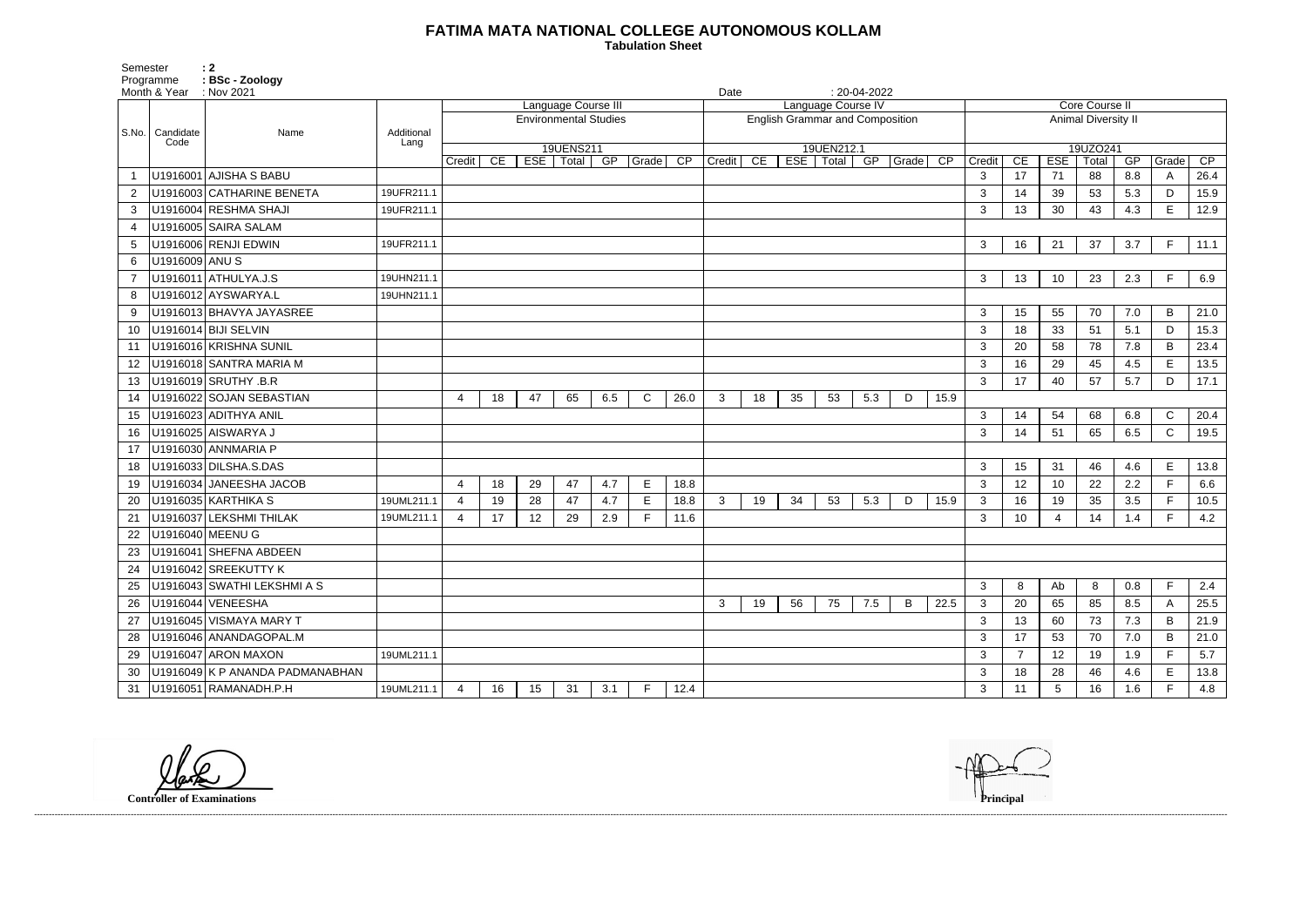## **FATIMA MATA NATIONAL COLLEGE AUTONOMOUS KOLLAM**

Semester : 2 Programme **: BSc - Zoology**  **Tabulation Sheet** 

| Month & Year : Nov 2021 |                           |                                 |                     |                              |    |    |                  |     |                    |                 | $: 20-04-2022$<br>Date                 |    |    |                  |     |          |                       |                            |                 |            |       |     |              |      |
|-------------------------|---------------------------|---------------------------------|---------------------|------------------------------|----|----|------------------|-----|--------------------|-----------------|----------------------------------------|----|----|------------------|-----|----------|-----------------------|----------------------------|-----------------|------------|-------|-----|--------------|------|
|                         |                           |                                 | Language Course III |                              |    |    |                  |     | Language Course IV |                 |                                        |    |    |                  |     |          | <b>Core Course II</b> |                            |                 |            |       |     |              |      |
|                         |                           |                                 |                     | <b>Environmental Studies</b> |    |    |                  |     |                    |                 | <b>English Grammar and Composition</b> |    |    |                  |     |          |                       | <b>Animal Diversity II</b> |                 |            |       |     |              |      |
|                         | S.No.   Candidate<br>Code | Name                            | Additional<br>Lang  |                              |    |    |                  |     |                    |                 |                                        |    |    |                  |     |          |                       |                            |                 |            |       |     |              |      |
|                         |                           |                                 |                     |                              |    |    | 19UENS211        |     |                    |                 |                                        |    |    | 19UEN212.1       |     |          |                       |                            |                 | 19UZO241   |       |     |              |      |
|                         |                           | U1916001 AJISHA S BABU          |                     | Credit                       | CE |    | ESE   Total   GP |     | Grade              | $\overline{CP}$ | Credit                                 | CE |    | ESE   Total   GP |     | Grade CP |                       | Credit                     | CE              | <b>ESE</b> | Total | GP  | Grade        | CP   |
|                         |                           |                                 |                     |                              |    |    |                  |     |                    |                 |                                        |    |    |                  |     |          |                       | 3                          | 17              | 71         | 88    | 8.8 | A            | 26.4 |
| 2                       |                           | U1916003 CATHARINE BENETA       | 19UFR211.1          |                              |    |    |                  |     |                    |                 |                                        |    |    |                  |     |          |                       | 3                          | 14              | 39         | 53    | 5.3 | D.           | 15.9 |
| 3                       |                           | U1916004 RESHMA SHAJI           | 19UFR211.1          |                              |    |    |                  |     |                    |                 |                                        |    |    |                  |     |          |                       | $\mathbf{3}$               | 13              | 30         | 43    | 4.3 | Е            | 12.9 |
| 4                       |                           | U1916005 SAIRA SALAM            |                     |                              |    |    |                  |     |                    |                 |                                        |    |    |                  |     |          |                       |                            |                 |            |       |     |              |      |
| 5                       |                           | U1916006 RENJI EDWIN            | 19UFR211.1          |                              |    |    |                  |     |                    |                 |                                        |    |    |                  |     |          |                       | 3                          | 16              | 21         | 37    | 3.7 | F            | 11.1 |
| 6                       | U1916009 ANU S            |                                 |                     |                              |    |    |                  |     |                    |                 |                                        |    |    |                  |     |          |                       |                            |                 |            |       |     | E            |      |
|                         |                           | U1916011 ATHULYA.J.S            | 19UHN211.1          |                              |    |    |                  |     |                    |                 |                                        |    |    |                  |     |          |                       | 3                          | 13              | 10         | 23    | 2.3 |              | 6.9  |
| 8                       |                           | U1916012 AYSWARYA.L             | 19UHN211.1          |                              |    |    |                  |     |                    |                 |                                        |    |    |                  |     |          |                       |                            |                 |            |       |     |              |      |
| 9                       |                           | U1916013 BHAVYA JAYASREE        |                     |                              |    |    |                  |     |                    |                 |                                        |    |    |                  |     |          |                       | $\mathbf{3}$               | 15              | 55         | 70    | 7.0 | B            | 21.0 |
| 10                      |                           | U1916014 BIJI SELVIN            |                     |                              |    |    |                  |     |                    |                 |                                        |    |    |                  |     |          |                       | $\mathbf{3}$               | 18              | 33         | 51    | 5.1 | D            | 15.3 |
| 11                      |                           | U1916016 KRISHNA SUNIL          |                     |                              |    |    |                  |     |                    |                 |                                        |    |    |                  |     |          |                       | 3                          | 20              | 58         | 78    | 7.8 | B            | 23.4 |
| 12                      |                           | U1916018 SANTRA MARIA M         |                     |                              |    |    |                  |     |                    |                 |                                        |    |    |                  |     |          |                       | 3                          | 16              | 29         | 45    | 4.5 | E            | 13.5 |
| 13                      |                           | U1916019 SRUTHY .B.R            |                     |                              |    |    |                  |     |                    |                 |                                        |    |    |                  |     |          |                       | $\mathbf{3}$               | 17              | 40         | 57    | 5.7 | D            | 17.1 |
| 14                      |                           | U1916022 SOJAN SEBASTIAN        |                     | 4                            | 18 | 47 | 65               | 6.5 | $\mathsf{C}$       | 26.0            | 3                                      | 18 | 35 | 53               | 5.3 | D        | 15.9                  |                            |                 |            |       |     |              |      |
| 15                      |                           | U1916023 ADITHYA ANIL           |                     |                              |    |    |                  |     |                    |                 |                                        |    |    |                  |     |          |                       | $\mathbf{3}$               | 14              | 54         | 68    | 6.8 | $\mathsf{C}$ | 20.4 |
| 16                      |                           | U1916025 AISWARYA J             |                     |                              |    |    |                  |     |                    |                 |                                        |    |    |                  |     |          |                       | 3                          | 14              | 51         | 65    | 6.5 | C            | 19.5 |
| 17                      |                           | U1916030 ANNMARIA P             |                     |                              |    |    |                  |     |                    |                 |                                        |    |    |                  |     |          |                       |                            |                 |            |       |     |              |      |
| 18                      |                           | U1916033 DILSHA.S.DAS           |                     |                              |    |    |                  |     |                    |                 |                                        |    |    |                  |     |          |                       | 3                          | 15              | 31         | 46    | 4.6 | E            | 13.8 |
| 19                      |                           | U1916034 JANEESHA JACOB         |                     | 4                            | 18 | 29 | 47               | 4.7 | Е                  | 18.8            |                                        |    |    |                  |     |          |                       | 3                          | 12              | 10         | 22    | 2.2 | Е            | 6.6  |
| 20                      |                           | U1916035 KARTHIKA S             | 19UML211.1          | $\overline{4}$               | 19 | 28 | 47               | 4.7 | E                  | 18.8            | 3                                      | 19 | 34 | 53               | 5.3 | D        | 15.9                  | $\mathbf{3}$               | 16              | 19         | 35    | 3.5 | F.           | 10.5 |
| 21                      |                           | U1916037 LEKSHMI THILAK         | 19UML211.1          | 4                            | 17 | 12 | 29               | 2.9 | F                  | 11.6            |                                        |    |    |                  |     |          |                       | 3                          | 10 <sup>°</sup> | 4          | 14    | 1.4 | E            | 4.2  |
| 22                      |                           | U1916040 MEENU G                |                     |                              |    |    |                  |     |                    |                 |                                        |    |    |                  |     |          |                       |                            |                 |            |       |     |              |      |
| 23                      |                           | U1916041 SHEFNA ABDEEN          |                     |                              |    |    |                  |     |                    |                 |                                        |    |    |                  |     |          |                       |                            |                 |            |       |     |              |      |
| 24                      |                           | U1916042 SREEKUTTY K            |                     |                              |    |    |                  |     |                    |                 |                                        |    |    |                  |     |          |                       |                            |                 |            |       |     |              |      |
| 25                      |                           | U1916043 SWATHI LEKSHMI A S     |                     |                              |    |    |                  |     |                    |                 |                                        |    |    |                  |     |          |                       | 3                          | 8               | Ab         | 8     | 0.8 | E            | 2.4  |
| 26                      |                           | U1916044 VENEESHA               |                     |                              |    |    |                  |     |                    |                 | 3                                      | 19 | 56 | 75               | 7.5 | B        | 22.5                  | 3                          | 20              | 65         | 85    | 8.5 | A            | 25.5 |
| 27                      |                           | U1916045 VISMAYA MARY T         |                     |                              |    |    |                  |     |                    |                 |                                        |    |    |                  |     |          |                       | 3                          | 13              | 60         | 73    | 7.3 | B            | 21.9 |
| 28                      |                           | U1916046 ANANDAGOPAL.M          |                     |                              |    |    |                  |     |                    |                 |                                        |    |    |                  |     |          |                       | 3                          | 17              | 53         | 70    | 7.0 | B            | 21.0 |
| 29                      |                           | U1916047 ARON MAXON             | 19UML211.1          |                              |    |    |                  |     |                    |                 |                                        |    |    |                  |     |          |                       | $\mathbf{3}$               | $\overline{7}$  | 12         | 19    | 1.9 |              | 5.7  |
| 30                      |                           | U1916049 K P ANANDA PADMANABHAN |                     |                              |    |    |                  |     |                    |                 |                                        |    |    |                  |     |          |                       | 3                          | 18              | 28         | 46    | 4.6 | E.           | 13.8 |
| 31                      |                           | U1916051 RAMANADH.P.H           | 19UML211.1          | 4                            | 16 | 15 | 31               | 3.1 | F                  | 12.4            |                                        |    |    |                  |     |          |                       | 3                          | 11              | 5          | 16    | 1.6 |              | 4.8  |

**Controller of Examinations Principal**



------------------------------------------------------------------------------------------------------------------------------------------------------------------------------------------------------------------------------------------------------------------------------------------------------------------------------------------------------------------------------------------------------------------------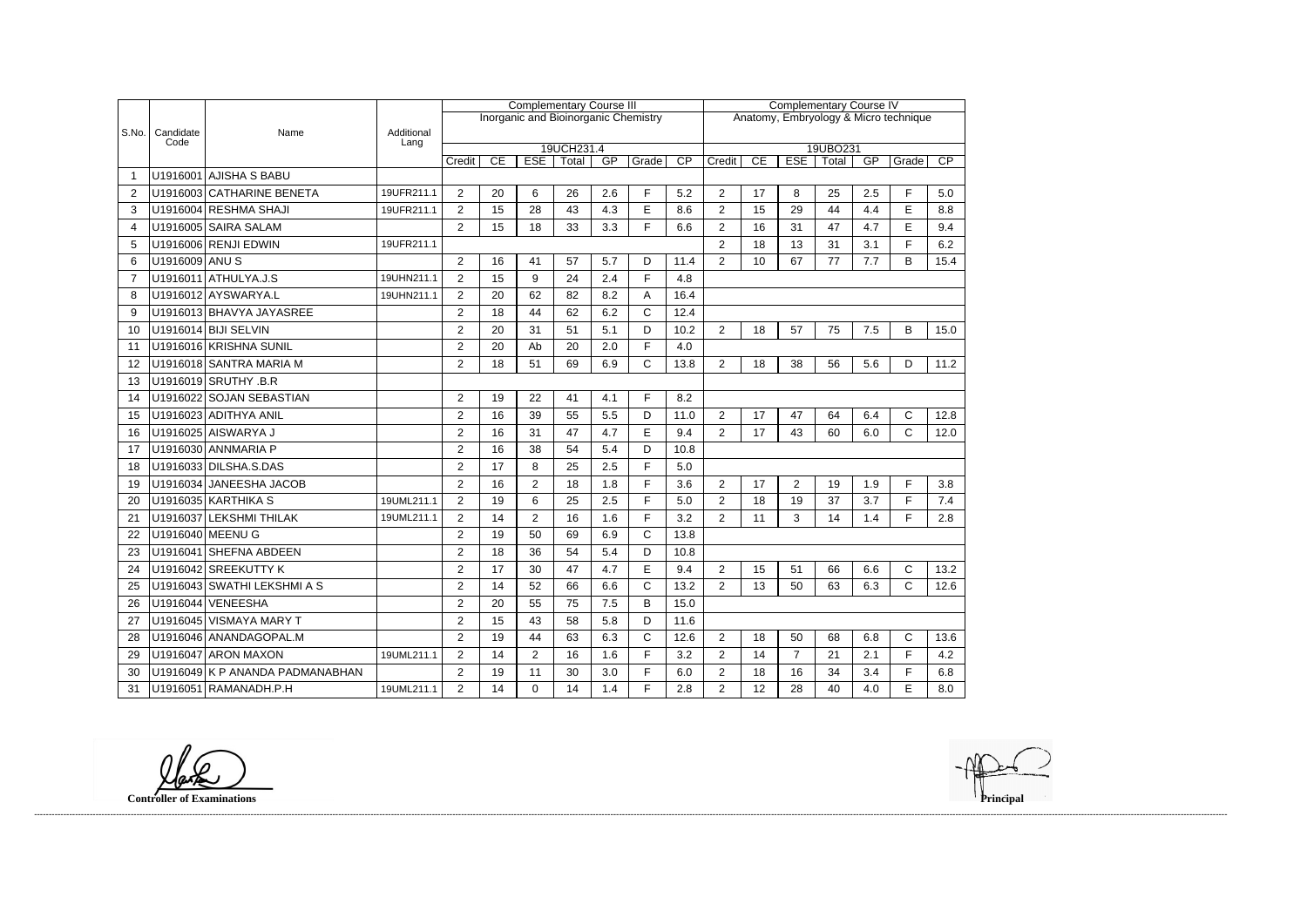|                |                   |                                 |                    | <b>Complementary Course III</b><br>Inorganic and Bioinorganic Chemistry |    |                |       |     |              |                                       | <b>Complementary Course IV</b> |          |                |          |     |              |                 |  |  |
|----------------|-------------------|---------------------------------|--------------------|-------------------------------------------------------------------------|----|----------------|-------|-----|--------------|---------------------------------------|--------------------------------|----------|----------------|----------|-----|--------------|-----------------|--|--|
|                |                   |                                 |                    |                                                                         |    |                |       |     |              | Anatomy, Embryology & Micro technique |                                |          |                |          |     |              |                 |  |  |
| S.No.          | Candidate<br>Code | Name                            | Additional<br>Lang |                                                                         |    |                |       |     |              |                                       |                                |          |                |          |     |              |                 |  |  |
|                |                   |                                 |                    | 19UCH231.4                                                              |    |                |       |     |              |                                       |                                | 19UBO231 |                |          |     |              |                 |  |  |
|                |                   | U1916001 AJISHA S BABU          |                    | Credit                                                                  | CE | <b>ESE</b>     | Total | GP  | Grade        | CP                                    | Credit                         | CE       | <b>ESE</b>     | Total    | GP  | Grade        | $\overline{CP}$ |  |  |
|                |                   | U1916003 CATHARINE BENETA       | 19UFR211.1         |                                                                         |    |                |       |     |              |                                       |                                |          |                |          |     |              |                 |  |  |
| -2             |                   |                                 |                    | $\overline{2}$                                                          | 20 | 6              | 26    | 2.6 | F.           | 5.2                                   | $\overline{2}$                 | 17       | 8              | 25<br>44 | 2.5 | F.           | 5.0             |  |  |
| 3              |                   | U1916004 RESHMA SHAJI           | 19UFR211.1         | $\overline{2}$                                                          | 15 | 28             | 43    | 4.3 | E            | 8.6                                   | $\overline{2}$                 | 15       | 29             |          | 4.4 | E            | 8.8             |  |  |
| $\overline{4}$ |                   | U1916005 SAIRA SALAM            |                    | $\overline{2}$                                                          | 15 | 18             | 33    | 3.3 | F.           | 6.6                                   | $\overline{2}$                 | 16       | 31             | 47       | 4.7 | E            | 9.4             |  |  |
| 5              |                   | U1916006 RENJI EDWIN            | 19UFR211.1         |                                                                         |    |                |       |     |              |                                       | $\overline{2}$                 | 18       | 13             | 31       | 3.1 | F.           | 6.2             |  |  |
| 6              | U1916009 ANU S    |                                 |                    | $\overline{2}$                                                          | 16 | 41             | 57    | 5.7 | D            | 11.4                                  | $\overline{2}$                 | 10       | 67             | 77       | 7.7 | B            | 15.4            |  |  |
| 7              |                   | U1916011 ATHULYA.J.S            | 19UHN211.1         | $\overline{2}$                                                          | 15 | 9              | 24    | 2.4 | F            | 4.8                                   |                                |          |                |          |     |              |                 |  |  |
| 8              |                   | U1916012 AYSWARYA.L             | 19UHN211.1         | $\overline{2}$                                                          | 20 | 62             | 82    | 8.2 | А            | 16.4                                  |                                |          |                |          |     |              |                 |  |  |
| 9              |                   | U1916013 BHAVYA JAYASREE        |                    | $\overline{2}$                                                          | 18 | 44             | 62    | 6.2 | $\mathsf{C}$ | 12.4                                  |                                |          |                |          |     |              |                 |  |  |
| 10             |                   | $U1916014$ BIJI SELVIN          |                    | $\overline{2}$                                                          | 20 | 31             | 51    | 5.1 | D            | 10.2                                  | $\overline{2}$                 | 18       | 57             | 75       | 7.5 | B            | 15.0            |  |  |
| 11             |                   | U1916016 KRISHNA SUNIL          |                    | $\overline{2}$                                                          | 20 | Ab             | 20    | 2.0 | F.           | 4.0                                   |                                |          |                |          |     |              |                 |  |  |
| 12             |                   | U1916018 SANTRA MARIA M         |                    | $\overline{2}$                                                          | 18 | 51             | 69    | 6.9 | C            | 13.8                                  | 2                              | 18       | 38             | 56       | 5.6 | D            | 11.2            |  |  |
| 13             |                   | U1916019 SRUTHY .B.R            |                    |                                                                         |    |                |       |     |              |                                       |                                |          |                |          |     |              |                 |  |  |
| 14             |                   | U1916022 SOJAN SEBASTIAN        |                    | $\overline{2}$                                                          | 19 | 22             | 41    | 4.1 | F            | 8.2                                   |                                |          |                |          |     |              |                 |  |  |
| 15             |                   | U1916023 ADITHYA ANIL           |                    | $\overline{2}$                                                          | 16 | 39             | 55    | 5.5 | D            | 11.0                                  | $\overline{2}$                 | 17       | 47             | 64       | 6.4 | C            | 12.8            |  |  |
| 16             |                   | U1916025 AISWARYA J             |                    | $\overline{2}$                                                          | 16 | 31             | 47    | 4.7 | E            | 9.4                                   | $\overline{2}$                 | 17       | 43             | 60       | 6.0 | $\mathsf{C}$ | 12.0            |  |  |
| 17             |                   | U1916030 ANNMARIA P             |                    | $\overline{2}$                                                          | 16 | 38             | 54    | 5.4 | D            | 10.8                                  |                                |          |                |          |     |              |                 |  |  |
| 18             |                   | U1916033 DILSHA.S.DAS           |                    | $\overline{2}$                                                          | 17 | 8              | 25    | 2.5 | F.           | 5.0                                   |                                |          |                |          |     |              |                 |  |  |
| 19             |                   | U1916034 JANEESHA JACOB         |                    | $\overline{2}$                                                          | 16 | $\overline{2}$ | 18    | 1.8 | F.           | 3.6                                   | $\overline{2}$                 | 17       | $\overline{2}$ | 19       | 1.9 | F            | 3.8             |  |  |
| 20             |                   | U1916035 KARTHIKA S             | 19UML211.1         | $\overline{2}$                                                          | 19 | 6              | 25    | 2.5 | F.           | 5.0                                   | $\overline{2}$                 | 18       | 19             | 37       | 3.7 | F            | 7.4             |  |  |
| $2^r$          |                   | U1916037 LEKSHMI THILAK         | 19UML211.1         | $\overline{2}$                                                          | 14 | $\overline{2}$ | 16    | 1.6 | F.           | 3.2                                   | $\overline{2}$                 | 11       | 3              | 14       | 1.4 | F            | 2.8             |  |  |
| 22             |                   | U1916040 MEENU G                |                    | $\overline{2}$                                                          | 19 | 50             | 69    | 6.9 | C            | 13.8                                  |                                |          |                |          |     |              |                 |  |  |
| 23             |                   | U1916041 SHEFNA ABDEEN          |                    | $\overline{2}$                                                          | 18 | 36             | 54    | 5.4 | D            | 10.8                                  |                                |          |                |          |     |              |                 |  |  |
| 24             |                   | U1916042 SREEKUTTY K            |                    | $\overline{2}$                                                          | 17 | 30             | 47    | 4.7 | E            | 9.4                                   | $\overline{2}$                 | 15       | 51             | 66       | 6.6 | C            | 13.2            |  |  |
| 25             |                   | U1916043 SWATHI LEKSHMI A S     |                    | $\overline{2}$                                                          | 14 | 52             | 66    | 6.6 | C            | 13.2                                  | $\overline{2}$                 | 13       | 50             | 63       | 6.3 | C            | 12.6            |  |  |
| 26             |                   | U1916044 VENEESHA               |                    | $\overline{2}$                                                          | 20 | 55             | 75    | 7.5 | B            | 15.0                                  |                                |          |                |          |     |              |                 |  |  |
| 27             |                   | U1916045 VISMAYA MARY T         |                    | $\overline{2}$                                                          | 15 | 43             | 58    | 5.8 | D            | 11.6                                  |                                |          |                |          |     |              |                 |  |  |
| 28             |                   | U1916046 ANANDAGOPAL.M          |                    | $\overline{2}$                                                          | 19 | 44             | 63    | 6.3 | C            | 12.6                                  | $\overline{2}$                 | 18       | 50             | 68       | 6.8 | $\mathsf{C}$ | 13.6            |  |  |
| 29             |                   | U1916047 ARON MAXON             | 19UML211.1         | $\overline{2}$                                                          | 14 | $\overline{2}$ | 16    | 1.6 | F.           | 3.2                                   | $\overline{2}$                 | 14       | $\overline{7}$ | 21       | 2.1 | F            | 4.2             |  |  |
| 30             |                   | U1916049 K P ANANDA PADMANABHAN |                    | $\overline{2}$                                                          | 19 | 11             | 30    | 3.0 | F            | 6.0                                   | $\overline{2}$                 | 18       | 16             | 34       | 3.4 | F.           | 6.8             |  |  |
| 31             |                   | U1916051 RAMANADH.P.H           | 19UML211.1         | $\overline{2}$                                                          | 14 | 0              | 14    | 1.4 | F.           | 2.8                                   | $\overline{2}$                 | 12       | 28             | 40       | 4.0 | E            | 8.0             |  |  |
|                |                   |                                 |                    |                                                                         |    |                |       |     |              |                                       |                                |          |                |          |     |              |                 |  |  |

**Controller of Examinations** 

------------------------------------------------------------------------------------------------------------------------------------------------------------------------------------------------------------------------------------------------------------------------------------------------------------------------------------------------------------------------------------------------------------------------